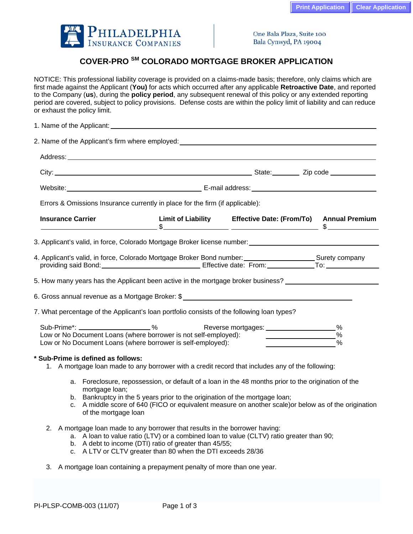

One Bala Plaza, Suite 100 Bala Cynwyd, PA 19004

## **COVER-PRO SM COLORADO MORTGAGE BROKER APPLICATION**

NOTICE: This professional liability coverage is provided on a claims-made basis; therefore, only claims which are first made against the Applicant (**You)** for acts which occurred after any applicable **Retroactive Date**, and reported to the Company (**us**), during the **policy period**, any subsequent renewal of this policy or any extended reporting period are covered, subject to policy provisions. Defense costs are within the policy limit of liability and can reduce or exhaust the policy limit.

|                                                                                                                                                                                                                                 | 1. Name of the Applicant: _                                                                                                                                                                                                                                                                       |  |  |  |                                                                                                       |  |  |
|---------------------------------------------------------------------------------------------------------------------------------------------------------------------------------------------------------------------------------|---------------------------------------------------------------------------------------------------------------------------------------------------------------------------------------------------------------------------------------------------------------------------------------------------|--|--|--|-------------------------------------------------------------------------------------------------------|--|--|
| 2. Name of the Applicant's firm where employed: 2. Name of the Applicant's firm where employed:                                                                                                                                 |                                                                                                                                                                                                                                                                                                   |  |  |  |                                                                                                       |  |  |
|                                                                                                                                                                                                                                 |                                                                                                                                                                                                                                                                                                   |  |  |  |                                                                                                       |  |  |
|                                                                                                                                                                                                                                 |                                                                                                                                                                                                                                                                                                   |  |  |  |                                                                                                       |  |  |
|                                                                                                                                                                                                                                 | Website: Mobile Communication of District Communication Communication Communication Communication Communication                                                                                                                                                                                   |  |  |  |                                                                                                       |  |  |
| Errors & Omissions Insurance currently in place for the firm (if applicable):                                                                                                                                                   |                                                                                                                                                                                                                                                                                                   |  |  |  |                                                                                                       |  |  |
| <b>Insurance Carrier</b>                                                                                                                                                                                                        |                                                                                                                                                                                                                                                                                                   |  |  |  | Limit of Liability Effective Date: (From/To) Annual Premium                                           |  |  |
|                                                                                                                                                                                                                                 |                                                                                                                                                                                                                                                                                                   |  |  |  | 3. Applicant's valid, in force, Colorado Mortgage Broker license number: ___________________________  |  |  |
| 4. Applicant's valid, in force, Colorado Mortgage Broker Bond number: _________________________Surety company<br>providing said Bond: ___________________________________Effective date: From: ______________To: ______________ |                                                                                                                                                                                                                                                                                                   |  |  |  |                                                                                                       |  |  |
| 5. How many years has the Applicant been active in the mortgage broker business? [100] [100] [100] [100] [100] [100] [100] [100] [100] [100] [100] [100] [100] [100] [100] [100] [100] [100] [100] [100] [100] [100] [100] [10  |                                                                                                                                                                                                                                                                                                   |  |  |  |                                                                                                       |  |  |
|                                                                                                                                                                                                                                 |                                                                                                                                                                                                                                                                                                   |  |  |  |                                                                                                       |  |  |
| 7. What percentage of the Applicant's loan portfolio consists of the following loan types?                                                                                                                                      |                                                                                                                                                                                                                                                                                                   |  |  |  |                                                                                                       |  |  |
| Sub-Prime*: _______________________%<br>Low or No Document Loans (where borrower is not self-employed):<br>Low or No Document Loans (where borrower is self-employed):                                                          |                                                                                                                                                                                                                                                                                                   |  |  |  | %<br>$\frac{0}{0}$<br>$\%$                                                                            |  |  |
|                                                                                                                                                                                                                                 | * Sub-Prime is defined as follows:<br>1. A mortgage loan made to any borrower with a credit record that includes any of the following:                                                                                                                                                            |  |  |  |                                                                                                       |  |  |
|                                                                                                                                                                                                                                 | a. Foreclosure, repossession, or default of a loan in the 48 months prior to the origination of the<br>mortgage loan;<br>b. Bankruptcy in the 5 years prior to the origination of the mortgage loan;<br>of the mortgage loan                                                                      |  |  |  | c. A middle score of 640 (FICO or equivalent measure on another scale) or below as of the origination |  |  |
|                                                                                                                                                                                                                                 | 2. A mortgage loan made to any borrower that results in the borrower having:<br>a. A loan to value ratio (LTV) or a combined loan to value (CLTV) ratio greater than 90;<br>b. A debt to income (DTI) ratio of greater than 45/55;<br>c. A LTV or CLTV greater than 80 when the DTI exceeds 28/36 |  |  |  |                                                                                                       |  |  |
|                                                                                                                                                                                                                                 | 3. A mortgage loan containing a prepayment penalty of more than one year.                                                                                                                                                                                                                         |  |  |  |                                                                                                       |  |  |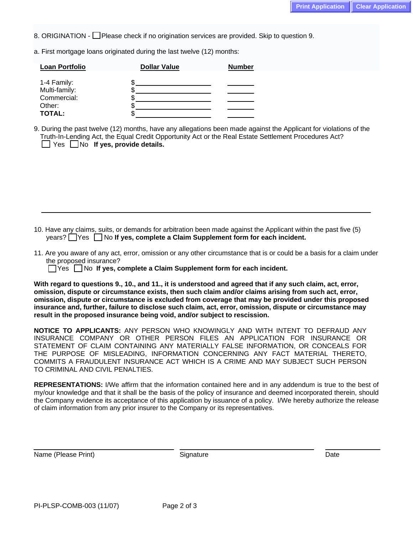8. ORIGINATION - Please check if no origination services are provided. Skip to question 9.

a. First mortgage loans originated during the last twelve (12) months:

| <b>Loan Portfolio</b>        | <b>Dollar Value</b> | <b>Number</b> |
|------------------------------|---------------------|---------------|
| 1-4 Family:<br>Multi-family: |                     |               |
| Commercial:                  |                     |               |
| Other:                       |                     |               |
| <b>TOTAL:</b>                |                     |               |

9. During the past twelve (12) months, have any allegations been made against the Applicant for violations of the Truth-In-Lending Act, the Equal Credit Opportunity Act or the Real Estate Settlement Procedures Act? **No If yes, provide details.** 

10. Have any claims, suits, or demands for arbitration been made against the Applicant within the past five (5) years? **T**Yes No If yes, complete a Claim Supplement form for each incident.

11. Are you aware of any act, error, omission or any other circumstance that is or could be a basis for a claim under the proposed insurance?

Yes No **If yes, complete a Claim Supplement form for each incident.** 

**With regard to questions 9., 10., and 11., it is understood and agreed that if any such claim, act, error, omission, dispute or circumstance exists, then such claim and/or claims arising from such act, error, omission, dispute or circumstance is excluded from coverage that may be provided under this proposed insurance and, further, failure to disclose such claim, act, error, omission, dispute or circumstance may result in the proposed insurance being void, and/or subject to rescission.** 

**NOTICE TO APPLICANTS:** ANY PERSON WHO KNOWINGLY AND WITH INTENT TO DEFRAUD ANY INSURANCE COMPANY OR OTHER PERSON FILES AN APPLICATION FOR INSURANCE OR STATEMENT OF CLAIM CONTAINING ANY MATERIALLY FALSE INFORMATION, OR CONCEALS FOR THE PURPOSE OF MISLEADING, INFORMATION CONCERNING ANY FACT MATERIAL THERETO, COMMITS A FRAUDULENT INSURANCE ACT WHICH IS A CRIME AND MAY SUBJECT SUCH PERSON TO CRIMINAL AND CIVIL PENALTIES.

**REPRESENTATIONS:** I/We affirm that the information contained here and in any addendum is true to the best of my/our knowledge and that it shall be the basis of the policy of insurance and deemed incorporated therein, should the Company evidence its acceptance of this application by issuance of a policy. I/We hereby authorize the release of claim information from any prior insurer to the Company or its representatives.

Name (Please Print) and Date Signature Controller School and Date Date Date Date Date

 $\overline{a}$